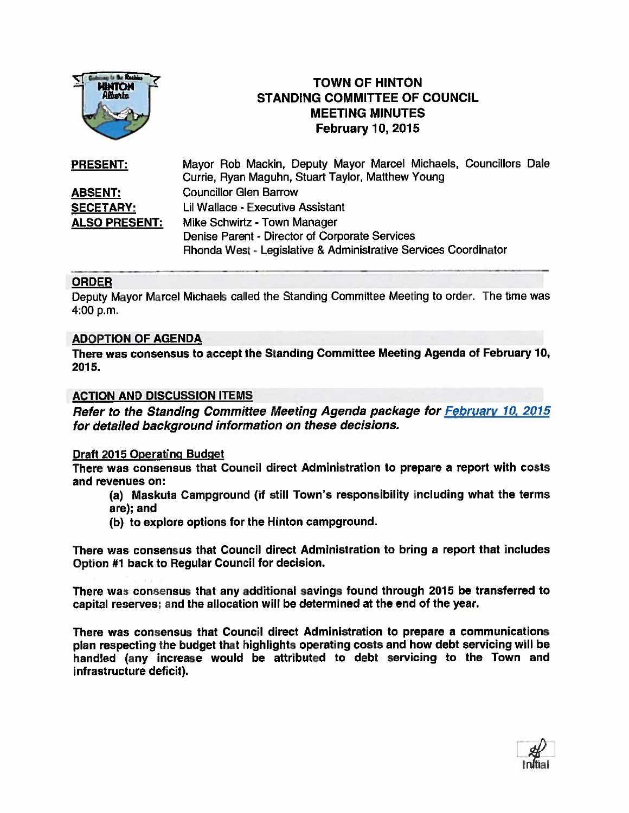

# **TOWN OF HINTON** STANDING COMMITTEE OF COUNCIL MEETING MINUTES February 10, 2015

PRESENT: Mayor Rob Mackin, Deputy Mayor Marcel Michaels, Councillors Dale Currie, Ryan Maguhn, Stuart Taylor. Matthew Young ABSENT: Councillor Glen Barrow SECETARY: Lii Wallace - Executive Assistant ALSO PRESENT: Mike Schwirtz - Town Manager Denise Parent - Director of Corporate Services Rhonda West - Legislative & Administrative Services Coordinator

## **ORDER**

Deputy Mayor Marcel Michaels called the Standing Committee Meeting to order. The time was 4:00 p.m.

## ADOPTION OF AGENDA

There was consensus to accep<sup>t</sup> the Standing Committee Meeting Agenda of February 10, 2015.

## ACTION AND DISCUSSION ITEMS

Refer to the Standing Committee Meeting Agenda package for **February 10, 2015** for detailed background information on these decisions.

## Draft 2015 Operating Budget

There was consensus that Council direct Administration to prepare <sup>a</sup> repor<sup>t</sup> with costs and revenues on:

(a) Maskuta Campground (if still Town's responsibility including what the terms are): and

(b) to explore options for the Hinton campground.

There was consensus that Council direct Administration to bring <sup>a</sup> repor<sup>t</sup> that includes Option #1 back to Regular Council for decision.

There was consensus that any additional savings found through 2015 be transferred to capital reserves; and the allocation will be determined at the end of the year.

There was consensus that Council direct Administration to prepare <sup>a</sup> communications <sup>p</sup>lan respecting the budget that highlights operating costs and how debt servicing will be handled (any increase would be attributed to debt servicing to the Town and infrastructure deficit).